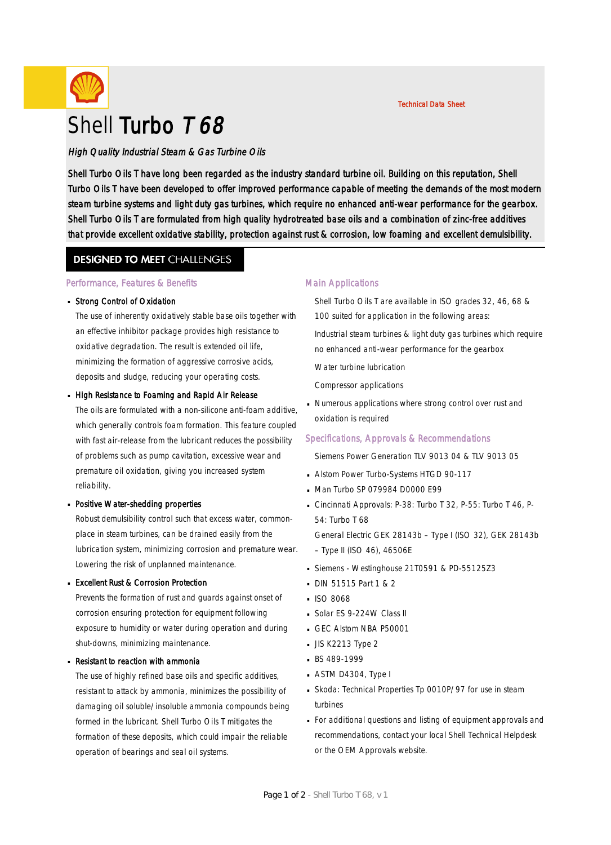

# Shell Turbo T 68

### High Quality Industrial Steam & Gas Turbine Oils

Shell Turbo Oils T have long been regarded as the industry standard turbine oil. Building on this reputation, Shell Turbo Oils T have been developed to offer improved performance capable of meeting the demands of the most modern steam turbine systems and light duty gas turbines, which require no enhanced anti-wear performance for the gearbox. Shell Turbo Oils T are formulated from high quality hydrotreated base oils and a combination of zinc-free additives that provide excellent oxidative stability, protection against rust & corrosion, low foaming and excellent demulsibility.

### **DESIGNED TO MEET CHALLENGES**

#### Performance, Features & Benefits

# • Strong Control of Oxidation

The use of inherently oxidatively stable base oils together with an effective inhibitor package provides high resistance to oxidative degradation. The result is extended oil life, minimizing the formation of aggressive corrosive acids, deposits and sludge, reducing your operating costs.

# ■ High Resistance to Foaming and Rapid Air Release

The oils are formulated with a non-silicone anti-foam additive, which generally controls foam formation. This feature coupled with fast air-release from the lubricant reduces the possibility of problems such as pump cavitation, excessive wear and premature oil oxidation, giving you increased system reliability.

# **Positive Water-shedding properties**

Robust demulsibility control such that excess water, commonplace in steam turbines, can be drained easily from the lubrication system, minimizing corrosion and premature wear. Lowering the risk of unplanned maintenance.

# Excellent Rust & Corrosion Protection ·

Prevents the formation of rust and guards against onset of corrosion ensuring protection for equipment following exposure to humidity or water during operation and during shut-downs, minimizing maintenance.

# ■ Resistant to reaction with ammonia

The use of highly refined base oils and specific additives, resistant to attack by ammonia, minimizes the possibility of damaging oil soluble/insoluble ammonia compounds being formed in the lubricant. Shell Turbo Oils T mitigates the formation of these deposits, which could impair the reliable operation of bearings and seal oil systems.

#### Main Applications

Shell Turbo Oils T are available in ISO grades 32, 46, 68 & 100 suited for application in the following areas:

Industrial steam turbines & light duty gas turbines which require no enhanced anti-wear performance for the gearbox

Water turbine lubrication

Compressor applications

Numerous applications where strong control over rust and · oxidation is required

#### Specifications, Approvals & Recommendations

Siemens Power Generation TLV 9013 04 & TLV 9013 05

- **Alstom Power Turbo-Systems HTGD 90-117**
- Man Turbo SP 079984 D0000 E99 ·
- Cincinnati Approvals: P-38: Turbo T 32, P-55: Turbo T 46, P-54: Turbo T 68

General Electric GEK 28143b – Type I (ISO 32), GEK 28143b – Type II (ISO 46), 46506E

- Siemens Westinghouse 21T0591 & PD-55125Z3 ·
- **DIN 51515 Part 1 & 2**
- $IBO$  8068
- Solar ES 9-224W Class II
- GEC Alstom NBA P50001
- $\blacksquare$  JIS K2213 Type 2
- BS 489-1999
- ASTM D4304, Type I ·
- Skoda: Technical Properties Tp 0010P/97 for use in steam · turbines
- For additional questions and listing of equipment approvals and · recommendations, contact your local Shell Technical Helpdesk or the OEM Approvals website.